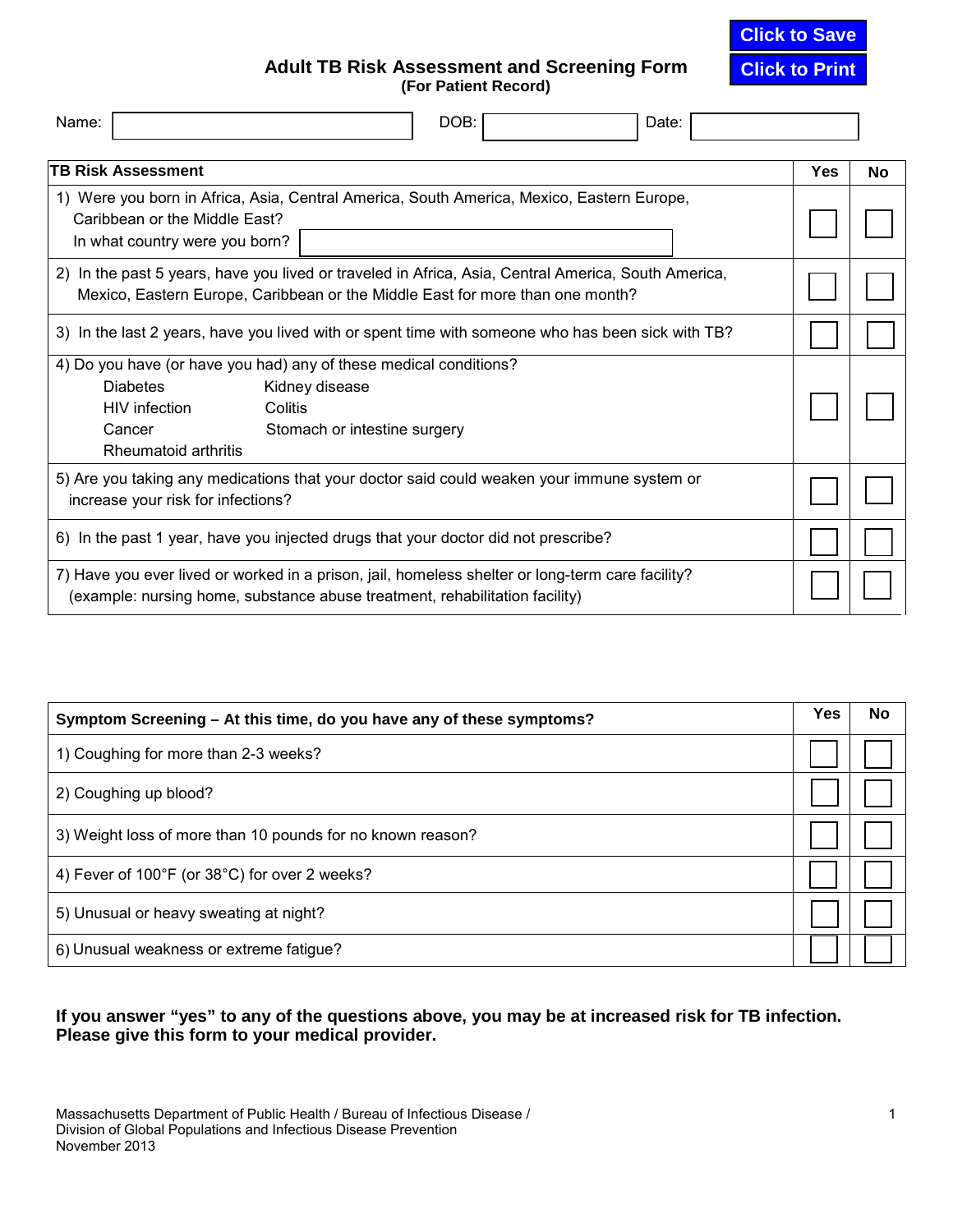**Click to Save**

**Click to Print**

**Adult TB Risk Assessment and Screening Form (For Patient Record)**

| <b>TB Risk Assessment</b><br>Yes                                                                                                                                                     | No |
|--------------------------------------------------------------------------------------------------------------------------------------------------------------------------------------|----|
|                                                                                                                                                                                      |    |
| 1) Were you born in Africa, Asia, Central America, South America, Mexico, Eastern Europe,<br>Caribbean or the Middle East?<br>In what country were you born?                         |    |
| 2) In the past 5 years, have you lived or traveled in Africa, Asia, Central America, South America,<br>Mexico, Eastern Europe, Caribbean or the Middle East for more than one month? |    |
| 3) In the last 2 years, have you lived with or spent time with someone who has been sick with TB?                                                                                    |    |
| 4) Do you have (or have you had) any of these medical conditions?                                                                                                                    |    |
| <b>Diabetes</b><br>Kidney disease                                                                                                                                                    |    |
| HIV infection<br>Colitis                                                                                                                                                             |    |
| Cancer<br>Stomach or intestine surgery                                                                                                                                               |    |
| Rheumatoid arthritis                                                                                                                                                                 |    |
| 5) Are you taking any medications that your doctor said could weaken your immune system or                                                                                           |    |
| increase your risk for infections?                                                                                                                                                   |    |
| 6) In the past 1 year, have you injected drugs that your doctor did not prescribe?                                                                                                   |    |
| 7) Have you ever lived or worked in a prison, jail, homeless shelter or long-term care facility?                                                                                     |    |
| (example: nursing home, substance abuse treatment, rehabilitation facility)                                                                                                          |    |

| Symptom Screening – At this time, do you have any of these symptoms? | Yes | No |
|----------------------------------------------------------------------|-----|----|
| 1) Coughing for more than 2-3 weeks?                                 |     |    |
| 2) Coughing up blood?                                                |     |    |
| 3) Weight loss of more than 10 pounds for no known reason?           |     |    |
| 4) Fever of 100°F (or 38°C) for over 2 weeks?                        |     |    |
| 5) Unusual or heavy sweating at night?                               |     |    |
| 6) Unusual weakness or extreme fatigue?                              |     |    |

### **If you answer "yes" to any of the questions above, you may be at increased risk for TB infection. Please give this form to your medical provider.**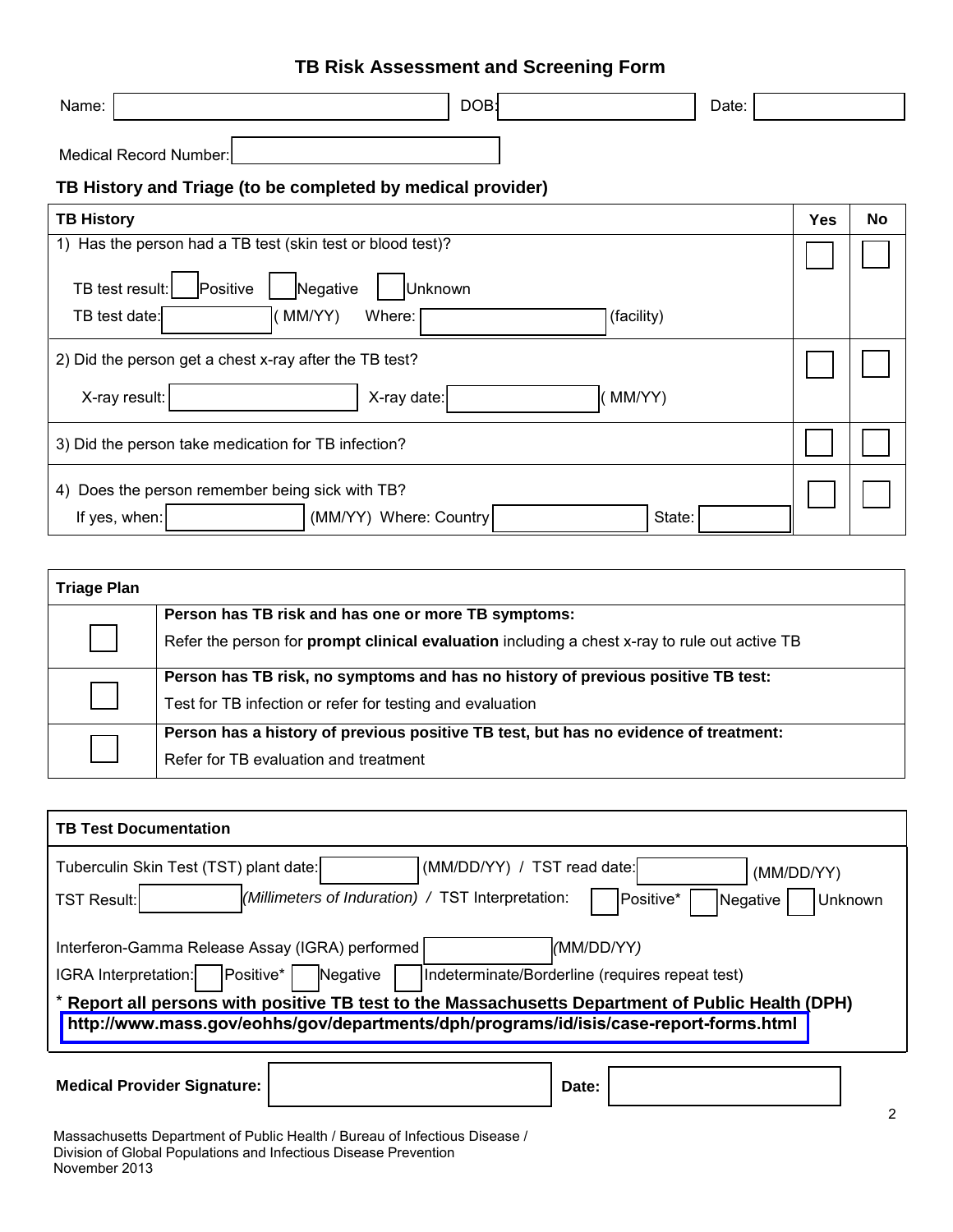| Name:                                                         | DOB:       | Date: |            |    |  |  |  |
|---------------------------------------------------------------|------------|-------|------------|----|--|--|--|
| Medical Record Number:                                        |            |       |            |    |  |  |  |
| TB History and Triage (to be completed by medical provider)   |            |       |            |    |  |  |  |
| <b>TB History</b>                                             |            |       | <b>Yes</b> | No |  |  |  |
| Has the person had a TB test (skin test or blood test)?<br>1) |            |       |            |    |  |  |  |
| Positive<br>Negative<br>TB test result:<br>Unknown            |            |       |            |    |  |  |  |
| TB test date:<br>MM/YY)<br>Where:                             | (facility) |       |            |    |  |  |  |
| 2) Did the person get a chest x-ray after the TB test?        |            |       |            |    |  |  |  |
| X-ray result:<br>X-ray date:                                  | [MM/YY)    |       |            |    |  |  |  |
| 3) Did the person take medication for TB infection?           |            |       |            |    |  |  |  |
| 4) Does the person remember being sick with TB?               |            |       |            |    |  |  |  |
| (MM/YY) Where: Country<br>If yes, when:                       | State:     |       |            |    |  |  |  |

| <b>Triage Plan</b> |                                                                                                                                                             |
|--------------------|-------------------------------------------------------------------------------------------------------------------------------------------------------------|
|                    | Person has TB risk and has one or more TB symptoms:<br>Refer the person for <b>prompt clinical evaluation</b> including a chest x-ray to rule out active TB |
|                    | Person has TB risk, no symptoms and has no history of previous positive TB test:<br>Test for TB infection or refer for testing and evaluation               |
|                    | Person has a history of previous positive TB test, but has no evidence of treatment:<br>Refer for TB evaluation and treatment                               |

| <b>TB Test Documentation</b>                                                                                                                                                                                                                                                                                                                                    |  |  |  |  |  |  |  |
|-----------------------------------------------------------------------------------------------------------------------------------------------------------------------------------------------------------------------------------------------------------------------------------------------------------------------------------------------------------------|--|--|--|--|--|--|--|
| (MM/DD/YY) / TST read date:<br>Tuberculin Skin Test (TST) plant date:<br>(MM/DD/YY)<br>(Millimeters of Induration) / TST Interpretation:<br><b>TST Result:</b><br>Positive*<br><b>Unknown</b><br>Negative                                                                                                                                                       |  |  |  |  |  |  |  |
| (MM/DD/YY)<br>Interferon-Gamma Release Assay (IGRA) performed<br>Positive*<br>IGRA Interpretation:<br>Negative<br>Indeterminate/Borderline (requires repeat test)<br>* Report all persons with positive TB test to the Massachusetts Department of Public Health (DPH)<br>http://www.mass.gov/eohhs/gov/departments/dph/programs/id/isis/case-report-forms.html |  |  |  |  |  |  |  |
| <b>Medical Provider Signature:</b><br>Date:                                                                                                                                                                                                                                                                                                                     |  |  |  |  |  |  |  |

Massachusetts Department of Public Health / Bureau of Infectious Disease / Division of Global Populations and Infectious Disease Prevention November 2013

# 2

## **TB Risk Assessment and Screening Form**